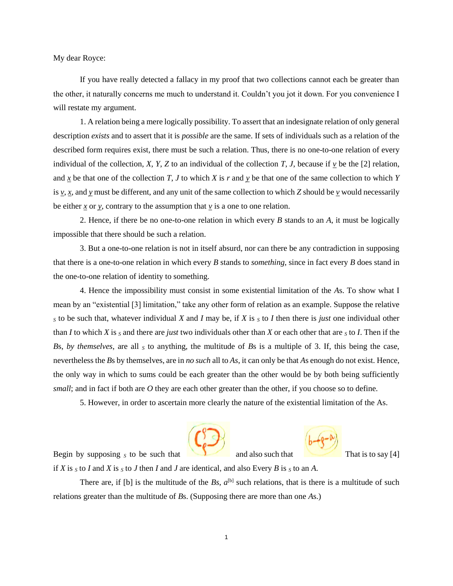My dear Royce:

If you have really detected a fallacy in my proof that two collections cannot each be greater than the other, it naturally concerns me much to understand it. Couldn't you jot it down. For you convenience I will restate my argument.

1. A relation being a mere logically possibility. To assert that an indesignate relation of only general description *exists* and to assert that it is *possible* are the same. If sets of individuals such as a relation of the described form requires exist, there must be such a relation. Thus, there is no one-to-one relation of every individual of the collection, *X*, *Y*, *Z* to an individual of the collection *T*, *J*, because if *v* be the [2] relation, and  $\overline{x}$  be that one of the collection *T*, *J* to which *X* is *r* and  $\overline{y}$  be that one of the same collection to which *Y* is  $v, x$ , and  $y$  must be different, and any unit of the same collection to which *Z* should be  $y$  would necessarily be either  $\underline{x}$  or  $\underline{y}$ , contrary to the assumption that  $\underline{y}$  is a one to one relation.

2. Hence, if there be no one-to-one relation in which every *B* stands to an *A*, it must be logically impossible that there should be such a relation.

3. But a one-to-one relation is not in itself absurd, nor can there be any contradiction in supposing that there is a one-to-one relation in which every *B* stands to *something*, since in fact every *B* does stand in the one-to-one relation of identity to something.

4. Hence the impossibility must consist in some existential limitation of the *A*s. To show what I mean by an "existential [3] limitation," take any other form of relation as an example. Suppose the relative *<sup>S</sup>* to be such that, whatever individual *X* and *I* may be, if *X* is *<sup>S</sup>* to *I* then there is *just* one individual other than *I* to which *X* is *<sup>S</sup>* and there are *just* two individuals other than *X* or each other that are *<sup>S</sup>* to *I*. Then if the *Bs, by themselves,* are all *s* to anything, the multitude of *Bs* is a multiple of 3. If, this being the case, nevertheless the *B*s by themselves, are in *no such* all to *As*, it can only be that *A*s enough do not exist. Hence, the only way in which to sums could be each greater than the other would be by both being sufficiently *small*; and in fact if both are *O* they are each other greater than the other, if you choose so to define.

5. However, in order to ascertain more clearly the nature of the existential limitation of the As.





Begin by supposing  $S$  to be such that and also such that That is to say [4]

if *X* is  $S$  to *I* and *X* is  $S$  to *J* then *I* and *J* are identical, and also Every *B* is  $S$  to an *A*.

There are, if [b] is the multitude of the  $Bs$ ,  $a^{[b]}$  such relations, that is there is a multitude of such relations greater than the multitude of *B*s. (Supposing there are more than one *A*s.)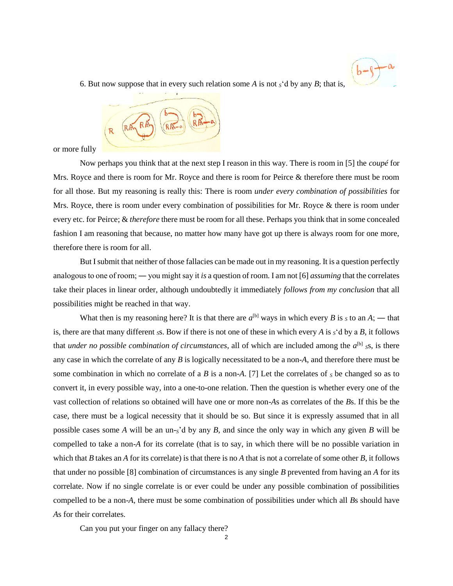

6. But now suppose that in every such relation some  $A$  is not  $S^4$  d by any  $B$ ; that is,



or more fully

Now perhaps you think that at the next step I reason in this way. There is room in [5] the *coupé* for Mrs. Royce and there is room for Mr. Royce and there is room for Peirce & therefore there must be room for all those. But my reasoning is really this: There is room *under every combination of possibilities* for Mrs. Royce, there is room under every combination of possibilities for Mr. Royce & there is room under every etc. for Peirce; & *therefore* there must be room for all these. Perhaps you think that in some concealed fashion I am reasoning that because, no matter how many have got up there is always room for one more, therefore there is room for all.

But I submit that neither of those fallacies can be made out in my reasoning. It is a question perfectly analogous to one of room; ― you might say it *is* a question of room. I am not [6] *assuming* that the correlates take their places in linear order, although undoubtedly it immediately *follows from my conclusion* that all possibilities might be reached in that way.

What then is my reasoning here? It is that there are  $a^{[b]}$  ways in which every *B* is *s* to an *A*; — that is, there are that many different  $_{\delta}$ s. Bow if there is not one of these in which every *A* is  $_{\delta}$ 'd by a *B*, it follows that *under no possible combination of circumstances*, all of which are included among the  $a^{\text{[b]}}$  ss, is there any case in which the correlate of any *B* is logically necessitated to be a non-*A*, and therefore there must be some combination in which no correlate of a *B* is a non-*A*. [7] Let the correlates of  $<sub>S</sub>$  be changed so as to</sub> convert it, in every possible way, into a one-to-one relation. Then the question is whether every one of the vast collection of relations so obtained will have one or more non-*A*s as correlates of the *B*s. If this be the case, there must be a logical necessity that it should be so. But since it is expressly assumed that in all possible cases some *A* will be an un-*S*'d by any *B*, and since the only way in which any given *B* will be compelled to take a non-*A* for its correlate (that is to say, in which there will be no possible variation in which that *B* takes an *A* for its correlate) is that there is no *A* that is not a correlate of some other *B*, it follows that under no possible [8] combination of circumstances is any single *B* prevented from having an *A* for its correlate. Now if no single correlate is or ever could be under any possible combination of possibilities compelled to be a non-*A*, there must be some combination of possibilities under which all *B*s should have *A*s for their correlates.

Can you put your finger on any fallacy there?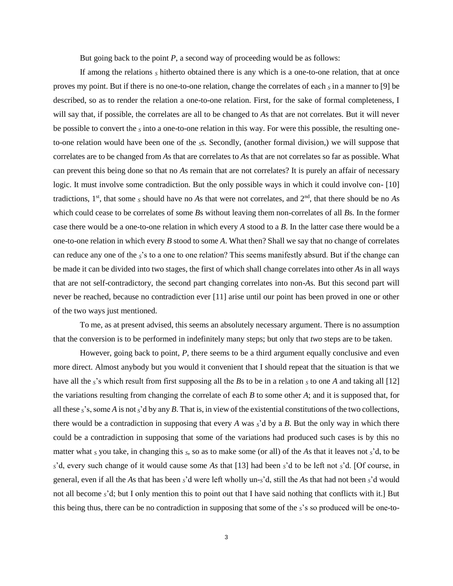But going back to the point *P*, a second way of proceeding would be as follows:

If among the relations *<sup>S</sup>* hitherto obtained there is any which is a one-to-one relation, that at once proves my point. But if there is no one-to-one relation, change the correlates of each *<sup>S</sup>* in a manner to [9] be described, so as to render the relation a one-to-one relation. First, for the sake of formal completeness, I will say that, if possible, the correlates are all to be changed to *A*s that are not correlates. But it will never be possible to convert the *<sup>S</sup>* into a one-to-one relation in this way. For were this possible, the resulting oneto-one relation would have been one of the *S*s. Secondly, (another formal division,) we will suppose that correlates are to be changed from *A*s that are correlates to *A*s that are not correlates so far as possible. What can prevent this being done so that no *A*s remain that are not correlates? It is purely an affair of necessary logic. It must involve some contradiction. But the only possible ways in which it could involve con- [10] tradictions,  $1<sup>st</sup>$ , that some *s* should have no *A*s that were not correlates, and  $2<sup>nd</sup>$ , that there should be no *As* which could cease to be correlates of some *B*s without leaving them non-correlates of all *B*s. In the former case there would be a one-to-one relation in which every *A* stood to a *B*. In the latter case there would be a one-to-one relation in which every *B* stood to some *A*. What then? Shall we say that no change of correlates can reduce any one of the *S*'s to a one to one relation? This seems manifestly absurd. But if the change can be made it can be divided into two stages, the first of which shall change correlates into other *A*s in all ways that are not self-contradictory, the second part changing correlates into non-*A*s. But this second part will never be reached, because no contradiction ever [11] arise until our point has been proved in one or other of the two ways just mentioned.

To me, as at present advised, this seems an absolutely necessary argument. There is no assumption that the conversion is to be performed in indefinitely many steps; but only that *two* steps are to be taken.

However, going back to point, *P*, there seems to be a third argument equally conclusive and even more direct. Almost anybody but you would it convenient that I should repeat that the situation is that we have all the  $s$ 's which result from first supposing all the *B*s to be in a relation  $s$  to one *A* and taking all [12] the variations resulting from changing the correlate of each *B* to some other *A*; and it is supposed that, for all these *S*'s, some *A* is not *S*'d by any *B*. That is, in view of the existential constitutions of the two collections, there would be a contradiction in supposing that every  $A$  was  $S'$ d by a  $B$ . But the only way in which there could be a contradiction in supposing that some of the variations had produced such cases is by this no matter what *<sup>S</sup>* you take, in changing this *S*, so as to make some (or all) of the *A*s that it leaves not *S*'d, to be *<sup>S</sup>*'d, every such change of it would cause some *As* that [13] had been *S*'d to be left not *S*'d. [Of course, in general, even if all the *A*s that has been *S*'d were left wholly un-*S*'d, still the *A*s that had not been *S*'d would not all become *S*'d; but I only mention this to point out that I have said nothing that conflicts with it.] But this being thus, there can be no contradiction in supposing that some of the *S*'s so produced will be one-to